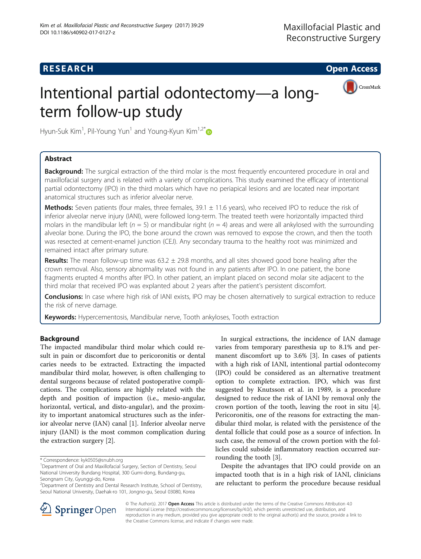# **RESEARCH CHE Open Access**



# Intentional partial odontectomy—a longterm follow-up study

Hyun-Suk Kim<sup>1</sup>, Pil-Young Yun<sup>1</sup> and Young-Kyun Kim<sup>1,2[\\*](http://orcid.org/0000-0002-7268-3870)</sup>

# Abstract

**Background:** The surgical extraction of the third molar is the most frequently encountered procedure in oral and maxillofacial surgery and is related with a variety of complications. This study examined the efficacy of intentional partial odontectomy (IPO) in the third molars which have no periapical lesions and are located near important anatomical structures such as inferior alveolar nerve.

Methods: Seven patients (four males, three females, 39.1 ± 11.6 years), who received IPO to reduce the risk of inferior alveolar nerve injury (IANI), were followed long-term. The treated teeth were horizontally impacted third molars in the mandibular left ( $n = 5$ ) or mandibular right ( $n = 4$ ) areas and were all ankylosed with the surrounding alveolar bone. During the IPO, the bone around the crown was removed to expose the crown, and then the tooth was resected at cement-enamel junction (CEJ). Any secondary trauma to the healthy root was minimized and remained intact after primary suture.

**Results:** The mean follow-up time was  $63.2 \pm 29.8$  months, and all sites showed good bone healing after the crown removal. Also, sensory abnormality was not found in any patients after IPO. In one patient, the bone fragments erupted 4 months after IPO. In other patient, an implant placed on second molar site adjacent to the third molar that received IPO was explanted about 2 years after the patient's persistent discomfort.

Conclusions: In case where high risk of IANI exists, IPO may be chosen alternatively to surgical extraction to reduce the risk of nerve damage.

Keywords: Hypercementosis, Mandibular nerve, Tooth ankyloses, Tooth extraction

# Background

The impacted mandibular third molar which could result in pain or discomfort due to pericoronitis or dental caries needs to be extracted. Extracting the impacted mandibular third molar, however, is often challenging to dental surgeons because of related postoperative complications. The complications are highly related with the depth and position of impaction (i.e., mesio-angular, horizontal, vertical, and disto-angular), and the proximity to important anatomical structures such as the inferior alveolar nerve (IAN) canal [[1\]](#page-4-0). Inferior alveolar nerve injury (IANI) is the most common complication during the extraction surgery [[2\]](#page-4-0).

In surgical extractions, the incidence of IAN damage varies from temporary paresthesia up to 8.1% and permanent discomfort up to 3.6% [[3\]](#page-4-0). In cases of patients with a high risk of IANI, intentional partial odontecomy (IPO) could be considered as an alternative treatment option to complete extraction. IPO, which was first suggested by Knutsson et al. in 1989, is a procedure designed to reduce the risk of IANI by removal only the crown portion of the tooth, leaving the root in situ [\[4](#page-4-0)]. Pericoronitis, one of the reasons for extracting the mandibular third molar, is related with the persistence of the dental follicle that could pose as a source of infection. In such case, the removal of the crown portion with the follicles could subside inflammatory reaction occurred surrounding the tooth [[3\]](#page-4-0).

Despite the advantages that IPO could provide on an impacted tooth that is in a high risk of IANI, clinicians are reluctant to perform the procedure because residual



© The Author(s). 2017 Open Access This article is distributed under the terms of the Creative Commons Attribution 4.0 International License ([http://creativecommons.org/licenses/by/4.0/\)](http://creativecommons.org/licenses/by/4.0/), which permits unrestricted use, distribution, and reproduction in any medium, provided you give appropriate credit to the original author(s) and the source, provide a link to the Creative Commons license, and indicate if changes were made.

<sup>\*</sup> Correspondence: [kyk0505@snubh.org](mailto:kyk0505@snubh.org) <sup>1</sup>

<sup>&</sup>lt;sup>1</sup>Department of Oral and Maxillofacial Surgery, Section of Dentistry, Seoul National University Bundang Hospital, 300 Gumi-dong, Bundang-gu, Seongnam City, Gyunggi-do, Korea

<sup>2</sup> Department of Dentistry and Dental Research Institute, School of Dentistry, Seoul National University, Daehak-ro 101, Jongno-gu, Seoul 03080, Korea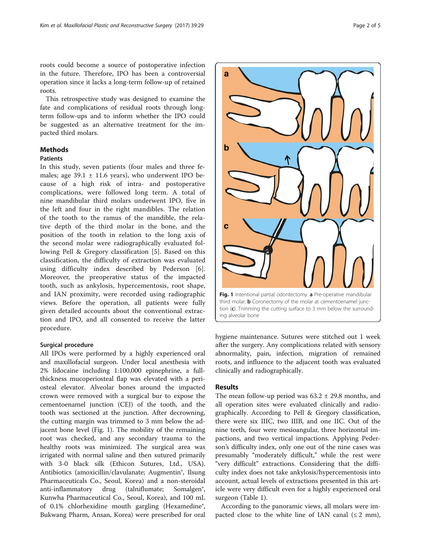roots could become a source of postoperative infection in the future. Therefore, IPO has been a controversial operation since it lacks a long-term follow-up of retained roots.

This retrospective study was designed to examine the fate and complications of residual roots through longterm follow-ups and to inform whether the IPO could be suggested as an alternative treatment for the impacted third molars.

# **Methods**

# Patients

In this study, seven patients (four males and three females; age  $39.1 \pm 11.6$  years), who underwent IPO because of a high risk of intra- and postoperative complications, were followed long term. A total of nine mandibular third molars underwent IPO, five in the left and four in the right mandibles. The relation of the tooth to the ramus of the mandible, the relative depth of the third molar in the bone, and the position of the tooth in relation to the long axis of the second molar were radiographically evaluated following Pell & Gregory classification [[5\]](#page-4-0). Based on this classification, the difficulty of extraction was evaluated using difficulty index described by Pederson [\[6](#page-4-0)]. Moreover, the preoperative status of the impacted tooth, such as ankylosis, hypercementosis, root shape, and IAN proximity, were recorded using radiographic views. Before the operation, all patients were fully given detailed accounts about the conventional extraction and IPO, and all consented to receive the latter procedure.

## Surgical procedure

All IPOs were performed by a highly experienced oral and maxillofacial surgeon. Under local anesthesia with 2% lidocaine including 1:100,000 epinephrine, a fullthickness mucoperiosteal flap was elevated with a periosteal elevator. Alveolar bones around the impacted crown were removed with a surgical bur to expose the cementoenamel junction (CEJ) of the tooth, and the tooth was sectioned at the junction. After decrowning, the cutting margin was trimmed to 3 mm below the adjacent bone level (Fig. 1). The mobility of the remaining root was checked, and any secondary trauma to the healthy roots was minimized. The surgical area was irrigated with normal saline and then sutured primarily with 3-0 black silk (Ethicon Sutures, Ltd., USA). Antibiotics (amoxicillin/clavulanate; Augmentin®, Ilsung Pharmaceuticals Co., Seoul, Korea) and a non-steroidal anti-inflammatory drug (talniflumate; Somalgen®, Kunwha Pharmaceutical Co., Seoul, Korea), and 100 mL of 0.1% chlorhexidine mouth gargling (Hexamedine®, Bukwang Pharm, Ansan, Korea) were prescribed for oral



hygiene maintenance. Sutures were stitched out 1 week after the surgery. Any complications related with sensory abnormality, pain, infection, migration of remained roots, and influence to the adjacent tooth was evaluated clinically and radiographically.

## Results

The mean follow-up period was  $63.2 \pm 29.8$  months, and all operation sites were evaluated clinically and radiographically. According to Pell & Gregory classification, there were six IIIC, two IIIB, and one IIC. Out of the nine teeth, four were mesioangular, three horizontal impactions, and two vertical impactions. Applying Pederson's difficulty index, only one out of the nine cases was presumably "moderately difficult," while the rest were "very difficult" extractions. Considering that the difficulty index does not take ankylosis/hypercementosis into account, actual levels of extractions presented in this article were very difficult even for a highly experienced oral surgeon (Table [1](#page-2-0)).

According to the panoramic views, all molars were impacted close to the white line of IAN canal  $(\leq 2$  mm),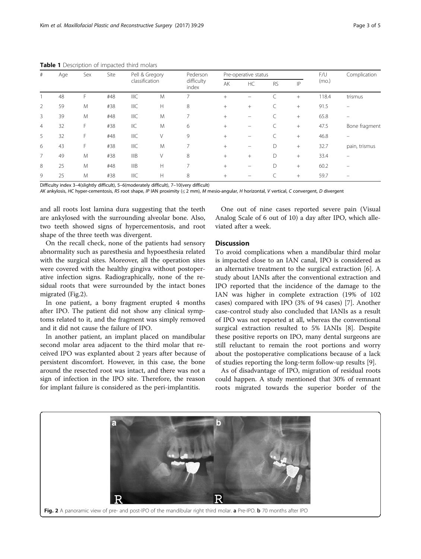| #              | Age | Sex | Site | Pell & Gregory |   | Pederson            | Pre-operative status |        |           |     | F/U   | Complication  |
|----------------|-----|-----|------|----------------|---|---------------------|----------------------|--------|-----------|-----|-------|---------------|
|                |     |     |      | classification |   | difficulty<br>index | AK                   | HC     | <b>RS</b> | IP  | (mo.) |               |
|                | 48  | F   | #48  | <b>IIIC</b>    | M |                     | $^{+}$               | —      |           | $+$ | 118.4 | trismus       |
| 2              | 59  | M   | #38  | <b>IIIC</b>    | H | 8                   | $^{+}$               | $^{+}$ |           | $+$ | 91.5  |               |
| 3              | 39  | M   | #48  | IIIC           | M | ⇁                   | $+$                  |        |           | $+$ | 65.8  |               |
| $\overline{4}$ | 32  | F   | #38  | IIC            | M | 6                   | $^{+}$               |        | C         | $+$ | 47.5  | Bone fragment |
| 5              | 32  | F   | #48  | <b>IIIC</b>    | V | 9                   | $^{+}$               |        |           | $+$ | 46.8  |               |
| 6              | 43  | F   | #38  | <b>IIIC</b>    | M | ⇁                   | $+$                  |        | D         | $+$ | 32.7  | pain, trismus |
| 7              | 49  | M   | #38  | <b>IIIB</b>    | V | 8                   | $^{+}$               | $^{+}$ | D         | $+$ | 33.4  |               |
| 8              | 25  | M   | #48  | <b>IIIB</b>    | H | ⇁                   | $^{+}$               |        | D         | $+$ | 60.2  |               |
| 9              | 25  | M   | #38  | <b>IIIC</b>    | H | 8                   | $^{+}$               |        |           | $+$ | 59.7  |               |

<span id="page-2-0"></span>Table 1 Description of impacted third molars

Difficulty index 3–4(slightly difficult), 5–6(moderately difficult), 7–10(very difficult)

AK ankylosis, HC hyper-cementosis, RS root shape, IP IAN proximity (≤ 2 mm), M mesio-angular, H horizontal, V vertical, C convergent, D divergent

and all roots lost lamina dura suggesting that the teeth are ankylosed with the surrounding alveolar bone. Also, two teeth showed signs of hypercementosis, and root shape of the three teeth was divergent.

On the recall check, none of the patients had sensory abnormality such as paresthesia and hypoesthesia related with the surgical sites. Moreover, all the operation sites were covered with the healthy gingiva without postoperative infection signs. Radiographically, none of the residual roots that were surrounded by the intact bones migrated (Fig.2).

In one patient, a bony fragment erupted 4 months after IPO. The patient did not show any clinical symptoms related to it, and the fragment was simply removed and it did not cause the failure of IPO.

In another patient, an implant placed on mandibular second molar area adjacent to the third molar that received IPO was explanted about 2 years after because of persistent discomfort. However, in this case, the bone around the resected root was intact, and there was not a sign of infection in the IPO site. Therefore, the reason for implant failure is considered as the peri-implantitis.

One out of nine cases reported severe pain (Visual Analog Scale of 6 out of 10) a day after IPO, which alleviated after a week.

## **Discussion**

To avoid complications when a mandibular third molar is impacted close to an IAN canal, IPO is considered as an alternative treatment to the surgical extraction [[6\]](#page-4-0). A study about IANIs after the conventional extraction and IPO reported that the incidence of the damage to the IAN was higher in complete extraction (19% of 102 cases) compared with IPO (3% of 94 cases) [[7\]](#page-4-0). Another case-control study also concluded that IANIs as a result of IPO was not reported at all, whereas the conventional surgical extraction resulted to 5% IANIs [[8\]](#page-4-0). Despite these positive reports on IPO, many dental surgeons are still reluctant to remain the root portions and worry about the postoperative complications because of a lack of studies reporting the long-term follow-up results [\[9](#page-4-0)].

As of disadvantage of IPO, migration of residual roots could happen. A study mentioned that 30% of remnant roots migrated towards the superior border of the

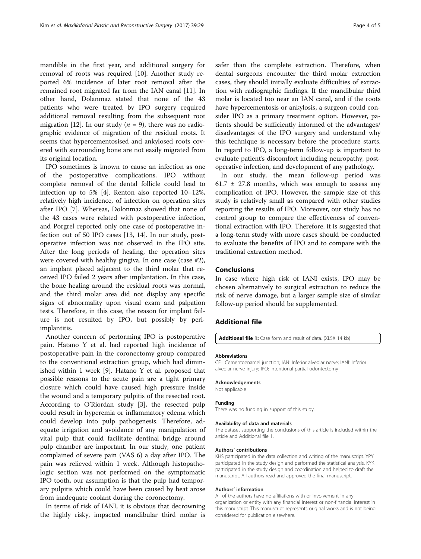mandible in the first year, and additional surgery for removal of roots was required [\[10\]](#page-4-0). Another study reported 6% incidence of later root removal after the remained root migrated far from the IAN canal [\[11\]](#page-4-0). In other hand, Dolanmaz stated that none of the 43 patients who were treated by IPO surgery required additional removal resulting from the subsequent root migration [[12\]](#page-4-0). In our study ( $n = 9$ ), there was no radiographic evidence of migration of the residual roots. It seems that hypercementosised and ankylosed roots covered with surrounding bone are not easily migrated from its original location.

IPO sometimes is known to cause an infection as one of the postoperative complications. IPO without complete removal of the dental follicle could lead to infection up to 5% [[4\]](#page-4-0). Renton also reported 10–12%, relatively high incidence, of infection on operation sites after IPO [\[7](#page-4-0)]. Whereas, Dolonmaz showed that none of the 43 cases were related with postoperative infection, and Porgrel reported only one case of postoperative infection out of 50 IPO cases [\[13, 14](#page-4-0)]. In our study, postoperative infection was not observed in the IPO site. After the long periods of healing, the operation sites were covered with healthy gingiva. In one case (case #2), an implant placed adjacent to the third molar that received IPO failed 2 years after implantation. In this case, the bone healing around the residual roots was normal, and the third molar area did not display any specific signs of abnormality upon visual exam and palpation tests. Therefore, in this case, the reason for implant failure is not resulted by IPO, but possibly by periimplantitis.

Another concern of performing IPO is postoperative pain. Hatano Y et al. had reported high incidence of postoperative pain in the coronectomy group compared to the conventional extraction group, which had diminished within 1 week [[9\]](#page-4-0). Hatano Y et al. proposed that possible reasons to the acute pain are a tight primary closure which could have caused high pressure inside the wound and a temporary pulpitis of the resected root. According to O'Riordan study [[3\]](#page-4-0), the resected pulp could result in hyperemia or inflammatory edema which could develop into pulp pathogenesis. Therefore, adequate irrigation and avoidance of any manipulation of vital pulp that could facilitate dentinal bridge around pulp chamber are important. In our study, one patient complained of severe pain (VAS 6) a day after IPO. The pain was relieved within 1 week. Although histopathologic section was not performed on the symptomatic IPO tooth, our assumption is that the pulp had temporary pulpitis which could have been caused by heat arose from inadequate coolant during the coronectomy.

In terms of risk of IANI, it is obvious that decrowning the highly risky, impacted mandibular third molar is safer than the complete extraction. Therefore, when dental surgeons encounter the third molar extraction cases, they should initially evaluate difficulties of extraction with radiographic findings. If the mandibular third molar is located too near an IAN canal, and if the roots have hypercementosis or ankylosis, a surgeon could consider IPO as a primary treatment option. However, patients should be sufficiently informed of the advantages/ disadvantages of the IPO surgery and understand why this technique is necessary before the procedure starts. In regard to IPO, a long-term follow-up is important to evaluate patient's discomfort including neuropathy, postoperative infection, and development of any pathology.

In our study, the mean follow-up period was  $61.7 \pm 27.8$  months, which was enough to assess any complication of IPO. However, the sample size of this study is relatively small as compared with other studies reporting the results of IPO. Moreover, our study has no control group to compare the effectiveness of conventional extraction with IPO. Therefore, it is suggested that a long-term study with more cases should be conducted to evaluate the benefits of IPO and to compare with the traditional extraction method.

#### Conclusions

In case where high risk of IANI exists, IPO may be chosen alternatively to surgical extraction to reduce the risk of nerve damage, but a larger sample size of similar follow-up period should be supplemented.

#### Additional file

[Additional file 1:](dx.doi.org/10.1186/s40902-017-0127-z) Case form and result of data. (XLSX 14 kb)

#### Abbreviations

CEJ: Cementoenamel junction; IAN: Inferior alveolar nerve; IANI: Inferior alveolar nerve injury; IPO: Intentional partial odontectomy

#### Acknowledgements

Not applicable

#### Funding

There was no funding in support of this study.

#### Availability of data and materials

The dataset supporting the conclusions of this article is included within the article and Additional file 1.

#### Authors' contributions

KHS participated in the data collection and writing of the manuscript. YPY participated in the study design and performed the statistical analysis. KYK participated in the study design and coordination and helped to draft the manuscript. All authors read and approved the final manuscript.

#### Authors' information

All of the authors have no affiliations with or involvement in any organization or entity with any financial interest or non-financial interest in this manuscript. This manuscript represents original works and is not being considered for publication elsewhere.